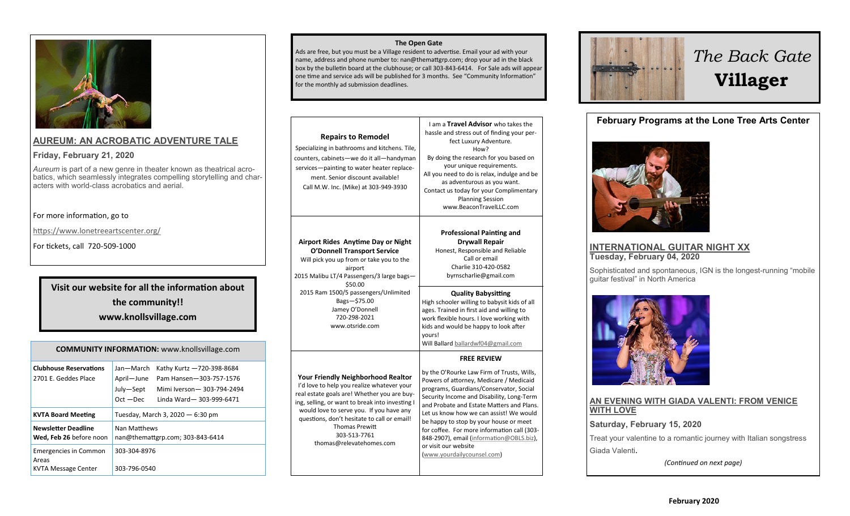

#### **[AUREUM: AN ACROBATIC ADVENTURE TALE](https://www.lonetreeartscenter.org/aureum)**

#### **Friday, February 21, 2020**

*Aureum* is part of a new genre in theater known as theatrical acrobatics, which seamlessly integrates compelling storytelling and characters with world-class acrobatics and aerial.

#### For more information, go to

<https://www.lonetreeartscenter.org/>

For tickets, call 720-509-1000

## **Visit our website for all the information about the community!! www.knollsvillage.com**

| <b>COMMUNITY INFORMATION: www.knollsvillage.com</b>                 |                                                                                                                                                                     |  |
|---------------------------------------------------------------------|---------------------------------------------------------------------------------------------------------------------------------------------------------------------|--|
| <b>Clubhouse Reservations</b><br>2701 E. Geddes Place               | Jan—March<br>Kathy Kurtz -720-398-8684<br>April-June<br>Pam Hansen-303-757-1576<br>July-Sept<br>Mimi Iverson-303-794-2494<br>$Oct - Dec$<br>Linda Ward-303-999-6471 |  |
| <b>KVTA Board Meeting</b>                                           | Tuesday, March 3, 2020 - 6:30 pm                                                                                                                                    |  |
| <b>Newsletter Deadline</b><br>Wed, Feb 26 before noon               | Nan Matthews<br>nan@themattgrp.com; 303-843-6414                                                                                                                    |  |
| <b>Emergencies in Common</b><br>Areas<br><b>KVTA Message Center</b> | 303-304-8976<br>303-796-0540                                                                                                                                        |  |

#### **The Open Gate**

Ads are free, but you must be a Village resident to advertise. Email your ad with your name, address and phone number to: nan@themattgrp.com; drop your ad in the black box by the bulletin board at the clubhouse; or call 303-843-6414. For Sale ads will appear one time and service ads will be published for 3 months. See "Community Information" for the monthly ad submission deadlines.

| <b>Repairs to Remodel</b><br>Specializing in bathrooms and kitchens. Tile,<br>counters, cabinets—we do it all—handyman<br>services-painting to water heater replace-<br>ment. Senior discount available!<br>Call M.W. Inc. (Mike) at 303-949-3930                                                                                                         | I am a Travel Advisor who takes the<br>hassle and stress out of finding your per-<br>fect Luxury Adventure.<br>How?<br>By doing the research for you based on<br>your unique requirements.<br>All you need to do is relax, indulge and be<br>as adventurous as you want.<br>Contact us today for your Complimentary<br><b>Planning Session</b><br>www.BeaconTravelLLC.com                                                                                                                                                    |
|-----------------------------------------------------------------------------------------------------------------------------------------------------------------------------------------------------------------------------------------------------------------------------------------------------------------------------------------------------------|------------------------------------------------------------------------------------------------------------------------------------------------------------------------------------------------------------------------------------------------------------------------------------------------------------------------------------------------------------------------------------------------------------------------------------------------------------------------------------------------------------------------------|
| Airport Rides Anytime Day or Night<br><b>O'Donnell Transport Service</b><br>Will pick you up from or take you to the<br>airport<br>2015 Malibu LT/4 Passengers/3 large bags-<br>\$50.00<br>2015 Ram 1500/5 passengers/Unlimited<br>Bags-\$75.00<br>Jamey O'Donnell<br>720-298-2021<br>www.otsride.com                                                     | <b>Professional Painting and</b><br><b>Drywall Repair</b><br>Honest, Responsible and Reliable<br>Call or email<br>Charlie 310-420-0582<br>byrnscharlie@gmail.com<br><b>Quality Babysitting</b><br>High schooler willing to babysit kids of all<br>ages. Trained in first aid and willing to<br>work flexible hours. I love working with<br>kids and would be happy to look after<br>vours!                                                                                                                                   |
| <b>Your Friendly Neighborhood Realtor</b><br>I'd love to help you realize whatever your<br>real estate goals are! Whether you are buy-<br>ing, selling, or want to break into investing I<br>would love to serve you. If you have any<br>questions, don't hesitate to call or email!<br><b>Thomas Prewitt</b><br>303-513-7761<br>thomas@relevatehomes.com | Will Ballard ballardwf04@gmail.com<br><b>FREE REVIEW</b><br>by the O'Rourke Law Firm of Trusts, Wills,<br>Powers of attorney, Medicare / Medicaid<br>programs, Guardians/Conservator, Social<br>Security Income and Disability, Long-Term<br>and Probate and Estate Matters and Plans.<br>Let us know how we can assist! We would<br>be happy to stop by your house or meet<br>for coffee. For more information call (303-<br>848-2907), email (information@OBLS.biz),<br>or visit our website<br>(www.yourdailycounsel.com) |



# *The Back Gate*  **Villager**

**February Programs at the Lone Tree Arts Center**



#### **[INTERNATIONAL GUITAR NIGHT XX](https://www.lonetreeartscenter.org/internationalguitarnightxx) Tuesday, February 04, 2020**

Sophisticated and spontaneous, IGN is the longest-running "mobile guitar festival" in North America



#### **[AN EVENING WITH GIADA VALENTI: FROM VENICE](https://www.lonetreeartscenter.org/giadavalenti)  [WITH LOVE](https://www.lonetreeartscenter.org/giadavalenti)**

**Saturday, February 15, 2020**

Treat your valentine to a romantic journey with Italian songstress Giada Valenti.

*(Continued on next page)*